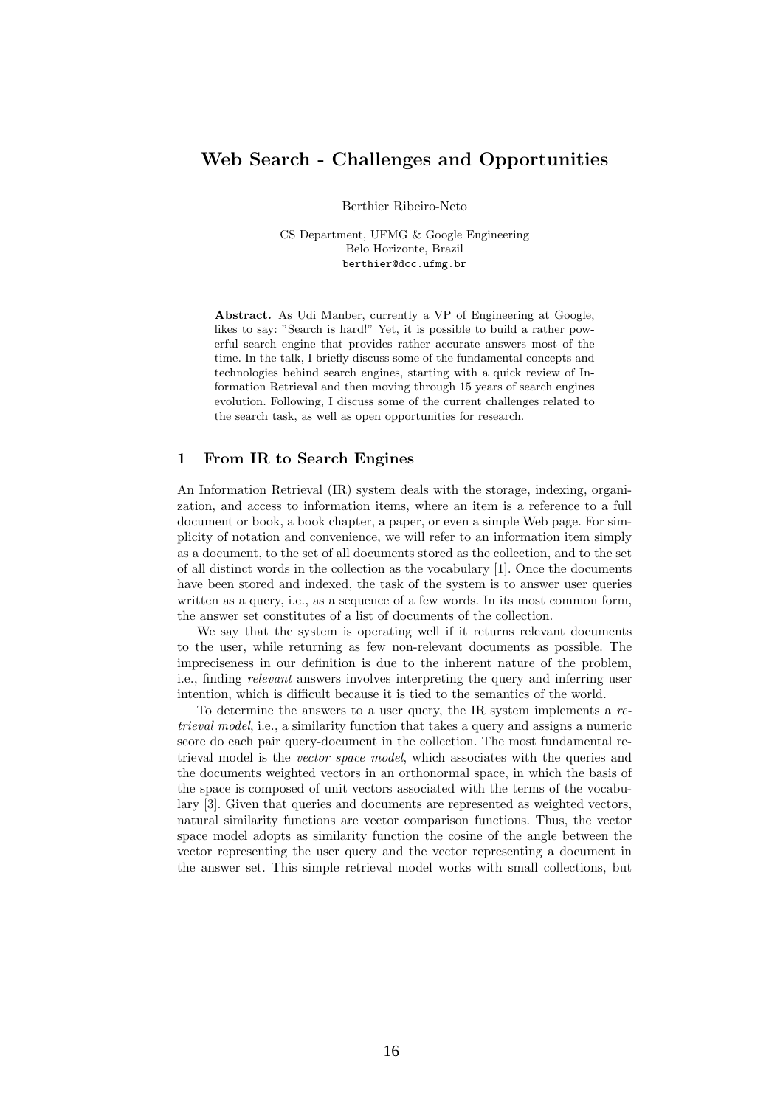## Web Search - Challenges and Opportunities

Berthier Ribeiro-Neto

CS Department, UFMG & Google Engineering Belo Horizonte, Brazil berthier@dcc.ufmg.br

Abstract. As Udi Manber, currently a VP of Engineering at Google, likes to say: "Search is hard!" Yet, it is possible to build a rather powerful search engine that provides rather accurate answers most of the time. In the talk, I briefly discuss some of the fundamental concepts and technologies behind search engines, starting with a quick review of Information Retrieval and then moving through 15 years of search engines evolution. Following, I discuss some of the current challenges related to the search task, as well as open opportunities for research.

## 1 From IR to Search Engines

An Information Retrieval (IR) system deals with the storage, indexing, organization, and access to information items, where an item is a reference to a full document or book, a book chapter, a paper, or even a simple Web page. For simplicity of notation and convenience, we will refer to an information item simply as a document, to the set of all documents stored as the collection, and to the set of all distinct words in the collection as the vocabulary [1]. Once the documents have been stored and indexed, the task of the system is to answer user queries written as a query, i.e., as a sequence of a few words. In its most common form, the answer set constitutes of a list of documents of the collection.

We say that the system is operating well if it returns relevant documents to the user, while returning as few non-relevant documents as possible. The impreciseness in our definition is due to the inherent nature of the problem, i.e., finding relevant answers involves interpreting the query and inferring user intention, which is difficult because it is tied to the semantics of the world.

To determine the answers to a user query, the IR system implements a retrieval model, i.e., a similarity function that takes a query and assigns a numeric score do each pair query-document in the collection. The most fundamental retrieval model is the vector space model, which associates with the queries and the documents weighted vectors in an orthonormal space, in which the basis of the space is composed of unit vectors associated with the terms of the vocabulary [3]. Given that queries and documents are represented as weighted vectors, natural similarity functions are vector comparison functions. Thus, the vector space model adopts as similarity function the cosine of the angle between the vector representing the user query and the vector representing a document in the answer set. This simple retrieval model works with small collections, but